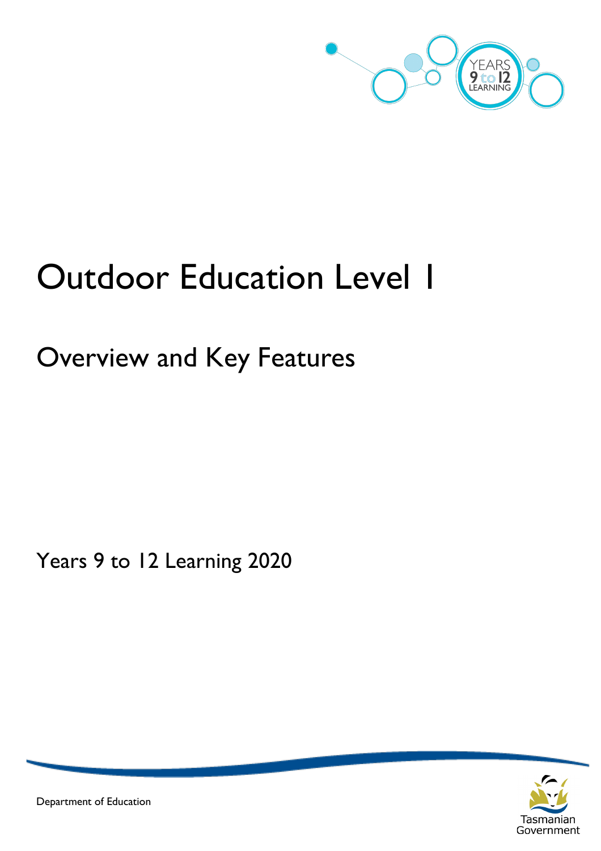

# **Outdoor Education Level 1**

## Overview and Key Features

Years 9 to 12 Learning 2020



Department of Education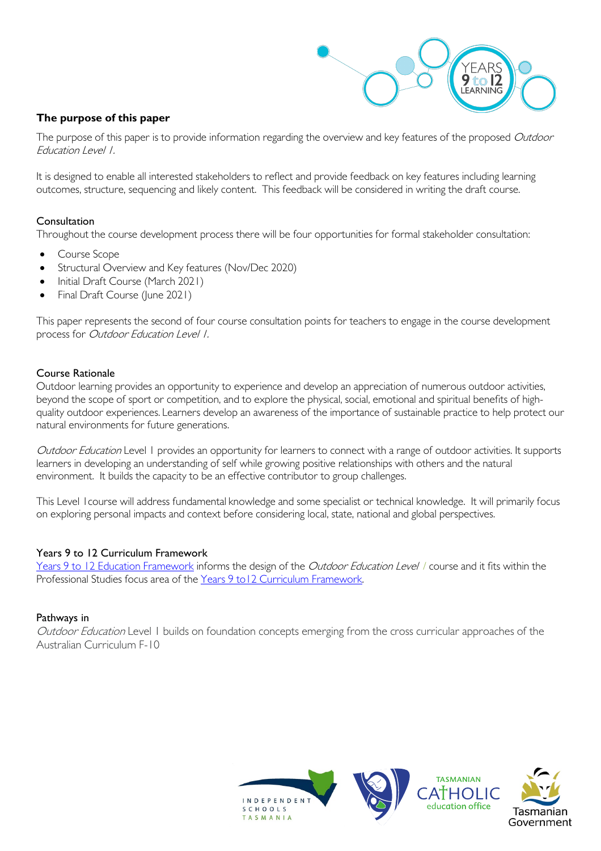

#### **The purpose of this paper**

The purpose of this paper is to provide information regarding the overview and key features of the proposed Outdoor Education Level 1.

It is designed to enable all interested stakeholders to reflect and provide feedback on key features including learning outcomes, structure, sequencing and likely content. This feedback will be considered in writing the draft course.

#### Consultation

Throughout the course development process there will be four opportunities for formal stakeholder consultation:

- Course Scope
- Structural Overview and Key features (Nov/Dec 2020)
- Initial Draft Course (March 2021)
- Final Draft Course (June 2021)

This paper represents the second of four course consultation points for teachers to engage in the course development process for Outdoor Education Level 1.

#### Course Rationale

Outdoor learning provides an opportunity to experience and develop an appreciation of numerous outdoor activities, beyond the scope of sport or competition, and to explore the physical, social, emotional and spiritual benefits of highquality outdoor experiences. Learners develop an awareness of the importance of sustainable practice to help protect our natural environments for future generations.

Outdoor Education Level 1 provides an opportunity for learners to connect with a range of outdoor activities. It supports learners in developing an understanding of self while growing positive relationships with others and the natural environment. It builds the capacity to be an effective contributor to group challenges.

This Level 1course will address fundamental knowledge and some specialist or technical knowledge. It will primarily focus on exploring personal impacts and context before considering local, state, national and global perspectives.

#### Years 9 to 12 Curriculum Framework

[Years 9 to 12 Education Framework](https://publicdocumentcentre.education.tas.gov.au/library/Shared%20Documents/Years-9-to-12-Education-Framework.pdf) informs the design of the Outdoor Education Level / course and it fits within the Professional Studies focus area of the [Years 9 to12 Curriculum Framework.](https://publicdocumentcentre.education.tas.gov.au/library/Shared%20Documents/Education%209-12%20Frameworks%20A3%20WEB%20POSTER.pdf) 

#### Pathways in

Outdoor Education Level 1 builds on foundation concepts emerging from the cross curricular approaches of the Australian Curriculum F-10

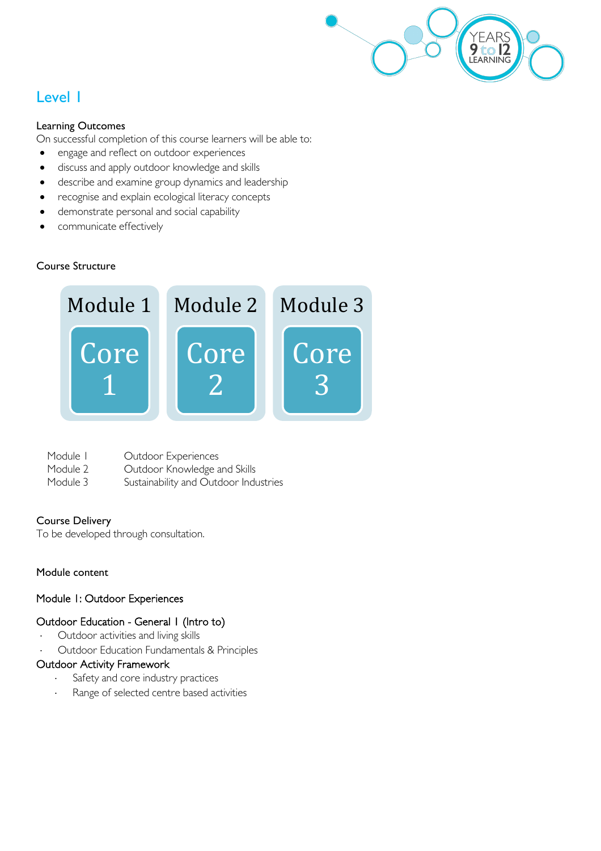

### Level 1

#### Learning Outcomes

On successful completion of this course learners will be able to:

- engage and reflect on outdoor experiences
- discuss and apply outdoor knowledge and skills
- describe and examine group dynamics and leadership
- recognise and explain ecological literacy concepts
- demonstrate personal and social capability
- communicate effectively

#### Course Structure



| Module I | Outdoor Experiences                   |
|----------|---------------------------------------|
| Module 2 | Outdoor Knowledge and Skills          |
| Module 3 | Sustainability and Outdoor Industries |

#### Course Delivery

To be developed through consultation.

#### Module content

#### Module 1: Outdoor Experiences

#### Outdoor Education - General 1 (Intro to)

- Outdoor activities and living skills
- ⋅ Outdoor Education Fundamentals & Principles

#### Outdoor Activity Framework

- Safety and core industry practices
- Range of selected centre based activities